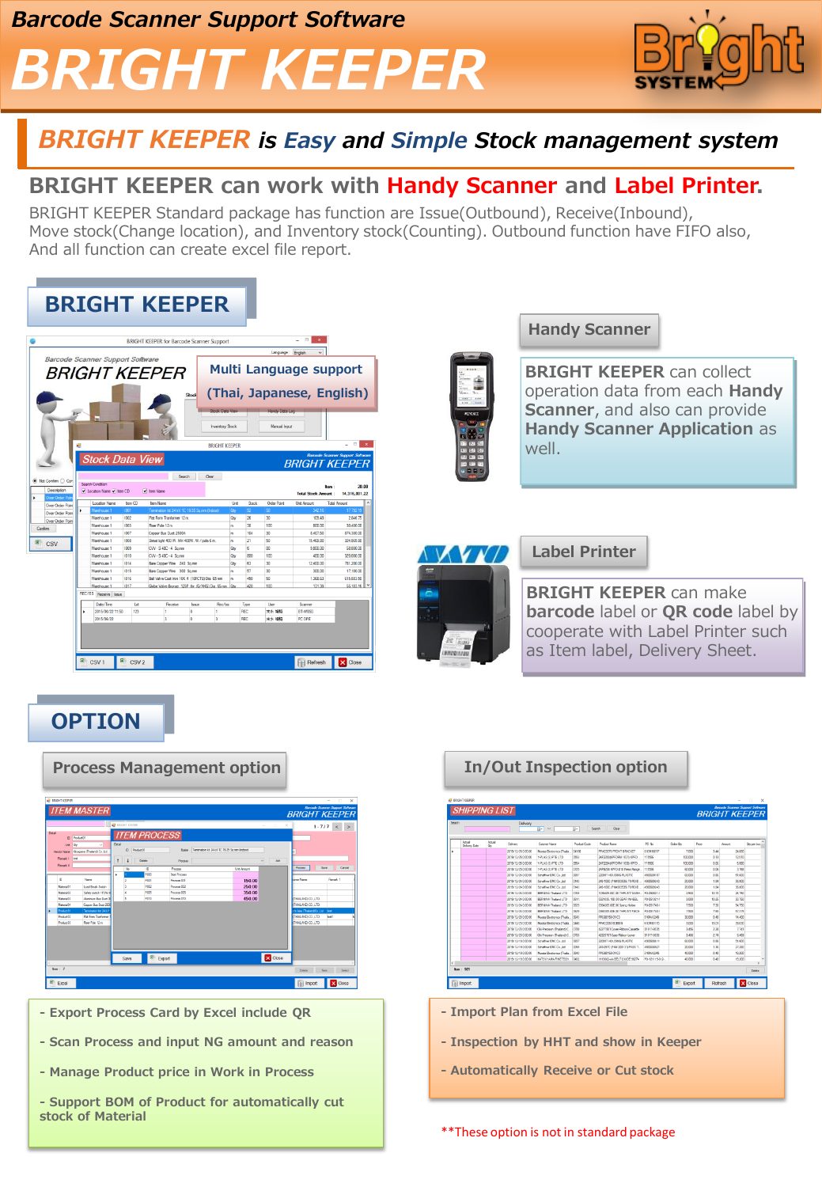# *BRIGHT KEEPER*



## *BRIGHT KEEPER is Easy and Simple Stock management system*

### **BRIGHT KEEPER can work with Handy Scanner and Label Printer.**

BRIGHT KEEPER Standard package has function are Issue(Outbound), Receive(Inbound), Move stock(Change location), and Inventory stock(Counting). Outbound function have FIFO also, And all function can create excel file report.

|                                                          | Barcode Scanner Support Software                                        |                     |                                                          |                             |                      | Language: English                  | <b>Multi Language support</b>       |                                                                   |
|----------------------------------------------------------|-------------------------------------------------------------------------|---------------------|----------------------------------------------------------|-----------------------------|----------------------|------------------------------------|-------------------------------------|-------------------------------------------------------------------|
|                                                          |                                                                         |                     | <i>BRIGHT KEEPER</i>                                     |                             |                      |                                    |                                     |                                                                   |
|                                                          |                                                                         |                     |                                                          | Slock                       |                      |                                    | (Thai, Japanese, English)           |                                                                   |
|                                                          |                                                                         |                     |                                                          |                             |                      |                                    |                                     |                                                                   |
|                                                          |                                                                         |                     |                                                          | <b>Rock Data View</b>       |                      | Handy Data Log                     |                                     |                                                                   |
|                                                          |                                                                         |                     |                                                          | Inventory Stock             |                      | Manual Input                       |                                     |                                                                   |
|                                                          |                                                                         |                     |                                                          |                             |                      |                                    |                                     |                                                                   |
|                                                          |                                                                         |                     |                                                          |                             |                      |                                    |                                     | $\Box$                                                            |
|                                                          |                                                                         |                     |                                                          |                             |                      |                                    |                                     |                                                                   |
| e                                                        |                                                                         |                     |                                                          | <b>BRIGHT KEEPER</b>        |                      |                                    |                                     |                                                                   |
| Not Confirm C Con<br>Description                         | <b>Stock Data View</b><br>Search Condition<br>D Location Name D Ibem CD |                     | Search<br>V bem Name                                     | Clear                       |                      |                                    | <b>BRIGHT KFFPFR</b><br><b>Boon</b> |                                                                   |
| <b>Diret Order Pos</b>                                   |                                                                         |                     |                                                          |                             |                      |                                    | <b>Total Stock Amount</b>           | <b>Barcode Scanner Support Software</b><br>20.00<br>14.316.001.22 |
|                                                          | Location Name                                                           | bem CD              | ten Name                                                 |                             | Use                  | <b>Order Point</b><br><b>Stock</b> | <b>Unt Amount</b>                   | <b>Total Amount</b>                                               |
|                                                          | Warehouse 1                                                             | <b>IOD1</b>         | Termination kit 24 kV 1C 16-35 Sq.mm (Indoor)            |                             | io,<br>п             |                                    | 342.16                              | 17.752.19                                                         |
|                                                          | Warehouse 1                                                             | 1002                | <b>Pot Form Toyotomer 12 m</b>                           |                             | Qr<br>26             | 30                                 | 109.49                              | 284675                                                            |
| Over Order Point<br>Over Order Point<br>Over Order Point | Warehouse 1                                                             | 1003                | Riser Pole 12m                                           |                             | 38<br>$\blacksquare$ | 100                                | 800.00                              | 30,400.00                                                         |
|                                                          | Warehouse 1                                                             | 1007                | Copper Bue Duct 2500A                                    |                             | 104<br>lm            | 30                                 | 8.407.50                            | 874 380 00                                                        |
|                                                          | Warehouse 1<br>Warehouse 1                                              | <b>IOOR</b><br>1009 | Street light 400 W. MH 400W. W / pole 6 m                |                             | 21<br>m<br>k         | 50<br>90                           | 15,469.80<br>9,800.00               | 324,865.80<br>58,800.00                                           |
|                                                          | Warehouse 1                                                             | 1010                | CW-S 48C-4 Somm<br>CW-S 49C-4 Somm                       |                             | Qr<br>800            | 100                                | 400.00                              | 320,000.00                                                        |
|                                                          | Weekouse 1                                                              | 1014                |                                                          |                             | <b>City</b><br>63    | 30                                 | 12,400.00                           |                                                                   |
|                                                          | Warehouse 1                                                             | 1015                | Bare Copper Wine 240 Sq.mm<br>Bare Copper Wire 300 Sq.mm |                             | Qbr<br>57<br>m       | 30                                 | 300.00                              | 781,200.00<br>17,100.00                                           |
|                                                          | Watehouse 1                                                             | 1016                | Ball Valve Cast Iron 10K ft (10FCTB) Dia 65 mm           |                             | 450<br>m             | 50                                 | 1.368.63                            | 615 883 50                                                        |
|                                                          | Warehouse 1                                                             | 1017                |                                                          |                             | <b>Ob</b><br>420     | 100                                |                                     |                                                                   |
|                                                          |                                                                         |                     | Globe Valve Bronze 125P thr (G/AKG) Dia 65 mm            |                             |                      |                                    | 131.39                              | 55.183.16                                                         |
|                                                          | REC/ISS Receive Issue                                                   |                     |                                                          |                             |                      |                                    |                                     |                                                                   |
|                                                          | Date/Time<br>2015/06/22 11:50                                           | Let<br>122          | <b>Receive</b><br>и                                      | Rec/lss<br>lasse<br>'n<br>٠ | Type<br><b>ARC</b>   | User<br>未水銀糖                       | Scanner<br><b>RT-WASS</b>           |                                                                   |

#### **Handy Scanner**

**BRIGHT KEEPER** can collect operation data from each **Handy Scanner**, and also can provide **Handy Scanner Application** as well.



#### **Label Printer**

**BRIGHT KEEPER** can make **barcode** label or **QR code** label by cooperate with Label Printer such as Item label, Delivery Sheet.

## **OPTION**



### **Process Management option In/Out Inspection option**

- **- Export Process Card by Excel include QR**
- **- Scan Process and input NG amount and reason**
- **- Manage Product price in Work in Process**
- **- Support BOM of Product for automatically cut stock of Material**

|        |                              |             | Delivery           |                                  |                     |                                 |                  |           |       |        |            |
|--------|------------------------------|-------------|--------------------|----------------------------------|---------------------|---------------------------------|------------------|-----------|-------|--------|------------|
|        |                              |             |                    | $\mathbb{R}^n$ $\sim$            | œ.                  | Search<br>Cievr                 |                  |           |       |        |            |
|        | <b>Artist</b><br>Deluwy Date | Actual<br>œ | Delvery            | Cutomer Name                     | <b>Product Cade</b> | <b>Product Name</b>             | PO No.           | Order Obr | Page  | Anount | On per box |
| ٠      |                              |             | 2019/12/26 0:00:00 | <b>Munta Geotevica (Thaia.</b>   | <b>OLYRE</b>        | PPACISITS FRONT BRACKET         | <b>41CM90017</b> | 7,000     | 3.44  | 24,000 |            |
|        |                              |             | 2019/12/25 0:00:00 | Y PLAS (SI PTE LTD)              | 0553                | 269 220309 FORM 1031) KPFD      | <b>Y1555</b>     | 100,000   | 0.13  | 12.510 |            |
|        |                              |             | 2010/12/25 0:00:00 | YPLAS (SIPTE LTD)                | COM                 | 267220892FORM 1030 KPRD         | <b>YTIMS</b>     | 100.000   | 0.09  | 5.320  |            |
|        |                              |             | 2019/12/25 0:00:00 | Y PLAS (SI PTE LTD)              | <b>OTPS</b>         | 2KP6208 KPTO 018 Press Range.   | <b>YTMIE</b>     | 62.000    | 0.06  | 3.768  |            |
|        |                              |             | 2019/12/24 0:00:00 | Scheffner ENC Co. Ltd.           | OGS7                | 220957 HOUSING PLASTIC          | 4500620117       | 62.000    | 0.35  | 51,600 |            |
|        |                              |             | 2019/12/24 0:00:00 | Scheffner ENC Co. Jat            | (1143)              | 245-1000 (PN4203535) TOROLD     | 4500029243       | 20.000    | 1.84  | 36,800 |            |
|        |                              |             | 2019/12/24 0:00:00 | Scheffner ENC Co. Ltd.           | 0143                | 245-1000 (PNA203535) TOROLD     | 4500605043       | 20:000    | 1.84  | 36,800 |            |
|        |                              |             | 2019/12/24 040300  | RERNING Thatand LTD              | 0765                | 10YOF REPORT OF THEFT WASH.     | POJ/50901.1      | 2500      | 10.70 | 36.758 |            |
|        |                              |             | 2019/12/24 0:00:00 | <b>BERNINA Thailand LTD</b>      | 0611                | 0321035 100 00 GEAR WHERE       | PO-051321-1      | 3,000     | 10.25 | 30.750 |            |
|        |                              |             | 2015/12/24 0:00:00 | BERNINA Thailand LTD             | 0625                | 0364205.00E.00 Spang Holder     | PO-051748-1      | 7500      | 7.30  | 54,750 |            |
|        |                              |             | 2019/12/24 0:00:00 | <b>RERNINA Thailand LTD</b>      | 0629                | OWARDS ODE OD THRU ST PIECE     | PO-051745-1      | 7530      | 7.65  | 57.376 |            |
|        |                              |             | 2019/12/23 0:00:00 | Murata Electronico (Thaila.      | 0643                | PPG80159-01-C3                  | 510883249        | 30,000    | 0.48  | 14,400 |            |
|        |                              |             | 2019/12/23 0:00:00 | <b>Wanta Flectioning (Thaila</b> | nast                | PPACIDID ROBBIN                 | <b>GIOVAS115</b> | 3,000     | 13.01 | 29.030 |            |
|        |                              |             | 2010/12/23 0:00:00 | Chi Precision (Thailand) C.      | 0700                | 42277811 Cover Piblion Cassette | 01911-0035       | 3.656     | 2.26  | 7.741  |            |
|        |                              |             | 2019/12/23 0:00:00 | Oki Precision (Thaland)C.        | 0763                | 42320701 Case-Ribbon-Lower      | 01911-0035       | 3,456     | 2.74  | 0.465  |            |
|        |                              |             | 2019/12/19 0:00:00 | Scheffner ENC Co. Ltd.           | OSS?                | 220957 HOUSING PLASTIC          | 4500630611       | 62.000    | 0.35  | 51,600 |            |
|        |                              |             | 2019/12/19 0:00:00 | Schaffnar EMC Co. Ltd.           | 0065                | 243-057C (PN# 200131) PASS T.   | 4500020921       | 20:000    | 136   | 27,200 |            |
|        |                              |             | 2019/12/15 0:00:00 | <b>Munta Bechonics (Thele.</b> ) | 0643                | PRGB0159-01-C3                  | 510883249        | 40.000    | 0.48  | 19,200 |            |
| $\leq$ |                              |             | 2019/12/19 0:00:00 | KATSUWANA RIMETECH.              | <b>OATS</b>         | 111302-ALREIT GUIDE 9874        | PO.171115-013    | 45,000    | 0.48  | 19.200 |            |

- **- Import Plan from Excel File**
- **- Inspection by HHT and show in Keeper**
- **- Automatically Receive or Cut stock**
- \*\*These option is not in standard package